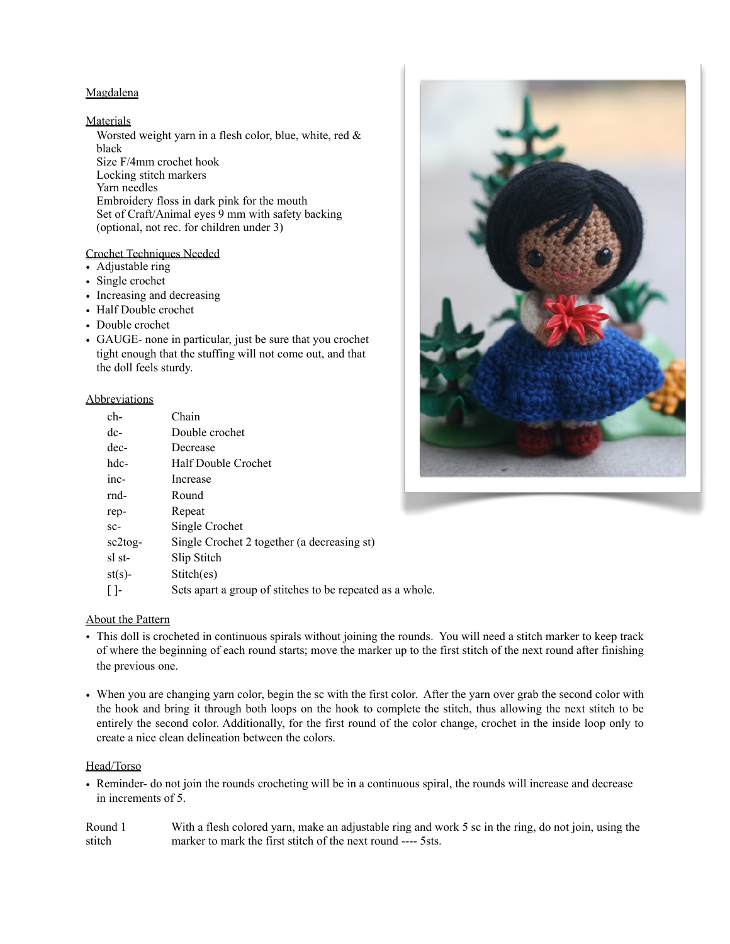## Magdalena

#### **Materials**

Worsted weight yarn in a flesh color, blue, white, red  $&$ black Size F/4mm crochet hook

Locking stitch markers

• Yarn needles

Embroidery floss in dark pink for the mouth Set of Craft/Animal eyes 9 mm with safety backing (optional, not rec. for children under 3)

## Crochet Techniques Needed

- Adjustable ring
- Single crochet
- Increasing and decreasing
- Half Double crochet
- Double crochet
- GAUGE- none in particular, just be sure that you crochet tight enough that the stuffing will not come out, and that the doll feels sturdy.

#### **Abbreviations**

| $ch-$        | Chain                                                     |
|--------------|-----------------------------------------------------------|
| dc-          | Double crochet                                            |
| dec-         | Decrease                                                  |
| hdc-         | <b>Half Double Crochet</b>                                |
| inc-         | Increase                                                  |
| rnd-         | Round                                                     |
| rep-         | Repeat                                                    |
| $SC-$        | Single Crochet                                            |
| $sc2$ tog-   | Single Crochet 2 together (a decreasing st)               |
| sl st-       | Slip Stitch                                               |
| $st(s)$ -    | Stitch(es)                                                |
| $\mathsf{L}$ | Sets apart a group of stitches to be repeated as a whole. |



- This doll is crocheted in continuous spirals without joining the rounds. You will need a stitch marker to keep track of where the beginning of each round starts; move the marker up to the first stitch of the next round after finishing the previous one.
- When you are changing yarn color, begin the sc with the first color. After the yarn over grab the second color with the hook and bring it through both loops on the hook to complete the stitch, thus allowing the next stitch to be entirely the second color. Additionally, for the first round of the color change, crochet in the inside loop only to create a nice clean delineation between the colors.

## Head/Torso

• Reminder- do not join the rounds crocheting will be in a continuous spiral, the rounds will increase and decrease in increments of 5.

Round 1 With a flesh colored yarn, make an adjustable ring and work 5 sc in the ring, do not join, using the stitch marker to mark the first stitch of the next round ---- 5sts.

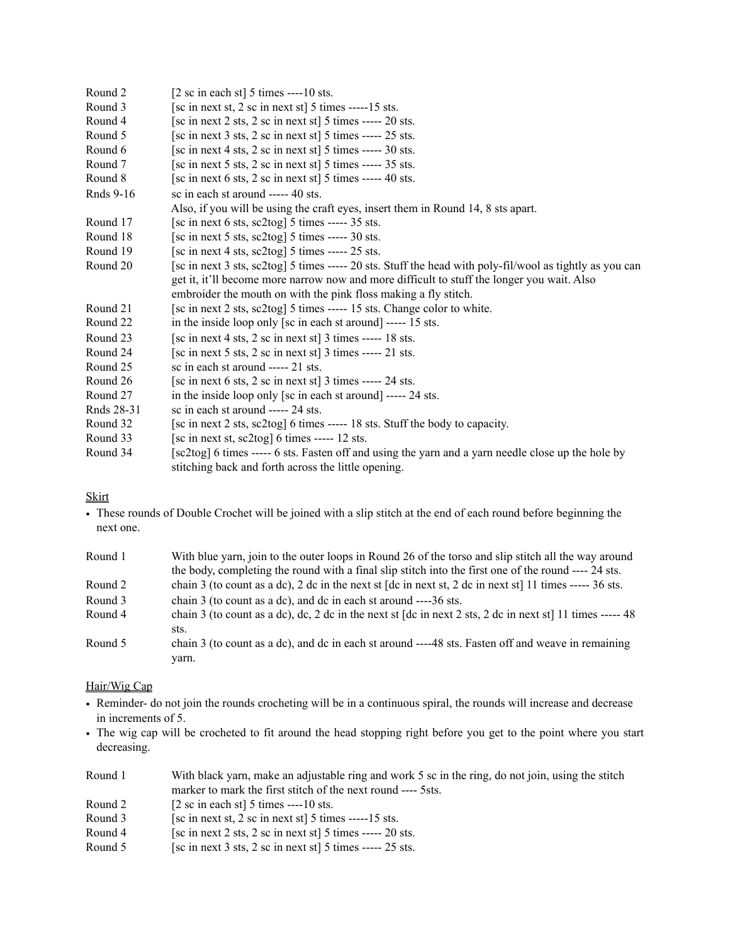| Round 2    | [2 sc in each st] 5 times ----10 sts.                                                                    |
|------------|----------------------------------------------------------------------------------------------------------|
| Round 3    | [sc in next st, 2 sc in next st] 5 times -----15 sts.                                                    |
| Round 4    | [sc in next 2 sts, 2 sc in next st] 5 times ----- 20 sts.                                                |
| Round 5    | [sc in next 3 sts, 2 sc in next st] 5 times ----- 25 sts.                                                |
| Round 6    | [sc in next 4 sts, 2 sc in next st] 5 times ----- 30 sts.                                                |
| Round 7    | [sc in next 5 sts, 2 sc in next st] 5 times ----- 35 sts.                                                |
| Round 8    | [sc in next 6 sts, 2 sc in next st] 5 times ----- 40 sts.                                                |
| Rnds 9-16  | sc in each st around ----- 40 sts.                                                                       |
|            | Also, if you will be using the craft eyes, insert them in Round 14, 8 sts apart.                         |
| Round 17   | [sc in next 6 sts, sc2tog] 5 times ----- 35 sts.                                                         |
| Round 18   | [sc in next 5 sts, sc2tog] 5 times ----- 30 sts.                                                         |
| Round 19   | [sc in next 4 sts, sc2tog] 5 times ----- 25 sts.                                                         |
| Round 20   | [sc in next 3 sts, sc2tog] 5 times ----- 20 sts. Stuff the head with poly-fil/wool as tightly as you can |
|            | get it, it'll become more narrow now and more difficult to stuff the longer you wait. Also               |
|            | embroider the mouth on with the pink floss making a fly stitch.                                          |
| Round 21   | [sc in next 2 sts, sc2tog] 5 times ----- 15 sts. Change color to white.                                  |
| Round 22   | in the inside loop only [sc in each st around] ----- 15 sts.                                             |
| Round 23   | [sc in next 4 sts, 2 sc in next st] 3 times ----- 18 sts.                                                |
| Round 24   | [sc in next 5 sts, 2 sc in next st] 3 times ----- 21 sts.                                                |
| Round 25   | sc in each st around ----- 21 sts.                                                                       |
| Round 26   | [sc in next 6 sts, 2 sc in next st] 3 times ----- 24 sts.                                                |
| Round 27   | in the inside loop only [sc in each st around] ----- 24 sts.                                             |
| Rnds 28-31 | sc in each st around ----- 24 sts.                                                                       |
| Round 32   | [sc in next 2 sts, sc2tog] 6 times ----- 18 sts. Stuff the body to capacity.                             |
| Round 33   | [sc in next st, sc2tog] 6 times ----- 12 sts.                                                            |
| Round 34   | [sc2tog] 6 times ----- 6 sts. Fasten off and using the yarn and a yarn needle close up the hole by       |
|            | stitching back and forth across the little opening.                                                      |

# Skirt

• These rounds of Double Crochet will be joined with a slip stitch at the end of each round before beginning the next one.

| Round 1 | With blue yarn, join to the outer loops in Round 26 of the torso and slip stitch all the way around       |
|---------|-----------------------------------------------------------------------------------------------------------|
|         | the body, completing the round with a final slip stitch into the first one of the round ---- 24 sts.      |
| Round 2 | chain 3 (to count as a dc), 2 dc in the next st [dc in next st, 2 dc in next st] 11 times ----- 36 sts.   |
| Round 3 | chain 3 (to count as a dc), and dc in each st around ----36 sts.                                          |
| Round 4 | chain 3 (to count as a dc), dc, 2 dc in the next st [dc in next 2 sts, 2 dc in next st] 11 times ----- 48 |
|         | sts.                                                                                                      |
| Round 5 | chain 3 (to count as a dc), and dc in each st around ----48 sts. Fasten off and weave in remaining        |
|         | yarn.                                                                                                     |

# Hair/Wig Cap

- Reminder- do not join the rounds crocheting will be in a continuous spiral, the rounds will increase and decrease in increments of 5.
- The wig cap will be crocheted to fit around the head stopping right before you get to the point where you start decreasing.

| Round 1 | With black yarn, make an adjustable ring and work 5 sc in the ring, do not join, using the stitch<br>marker to mark the first stitch of the next round ---- 5sts. |
|---------|-------------------------------------------------------------------------------------------------------------------------------------------------------------------|
| Round 2 | [2 sc in each st] 5 times $---10$ sts.                                                                                                                            |
| Round 3 | [sc in next st, 2 sc in next st] 5 times $---15$ sts.                                                                                                             |
| Round 4 | [sc in next 2 sts, 2 sc in next st] 5 times $--- 20$ sts.                                                                                                         |
| Round 5 | [sc in next 3 sts, 2 sc in next st] 5 times $--- 25$ sts.                                                                                                         |